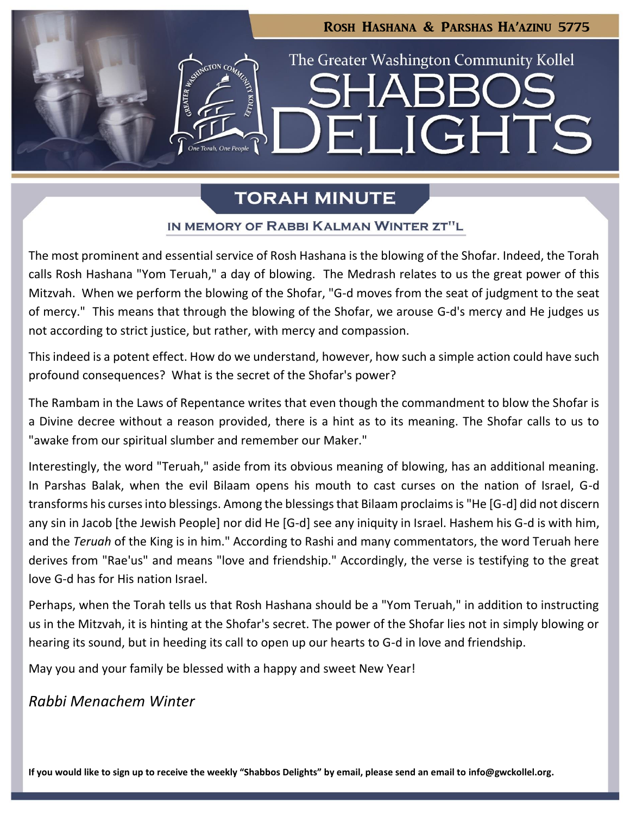

# **TORAH MINUTE**

## IN MEMORY OF RABBI KALMAN WINTER ZT"L

The most prominent and essential service of Rosh Hashana is the blowing of the Shofar. Indeed, the Torah calls Rosh Hashana "Yom Teruah," a day of blowing. The Medrash relates to us the great power of this Mitzvah. When we perform the blowing of the Shofar, "G-d moves from the seat of judgment to the seat of mercy." This means that through the blowing of the Shofar, we arouse G-d's mercy and He judges us not according to strict justice, but rather, with mercy and compassion.

This indeed is a potent effect. How do we understand, however, how such a simple action could have such profound consequences? What is the secret of the Shofar's power?

The Rambam in the Laws of Repentance writes that even though the commandment to blow the Shofar is a Divine decree without a reason provided, there is a hint as to its meaning. The Shofar calls to us to "awake from our spiritual slumber and remember our Maker."

Interestingly, the word "Teruah," aside from its obvious meaning of blowing, has an additional meaning. In Parshas Balak, when the evil Bilaam opens his mouth to cast curses on the nation of Israel, G-d transforms his curses into blessings. Among the blessings that Bilaam proclaims is "He [G-d] did not discern any sin in Jacob [the Jewish People] nor did He [G-d] see any iniquity in Israel. Hashem his G-d is with him, and the *Teruah* of the King is in him." According to Rashi and many commentators, the word Teruah here derives from "Rae'us" and means "love and friendship." Accordingly, the verse is testifying to the great love G-d has for His nation Israel.

Perhaps, when the Torah tells us that Rosh Hashana should be a "Yom Teruah," in addition to instructing us in the Mitzvah, it is hinting at the Shofar's secret. The power of the Shofar lies not in simply blowing or hearing its sound, but in heeding its call to open up our hearts to G-d in love and friendship.

May you and your family be blessed with a happy and sweet New Year!

*Rabbi Menachem Winter*

**If you would like to sign up to receive the weekly "Shabbos Delights" by email, please send an email to [info@gwckollel.org.](mailto:info@gwckollel.org)**